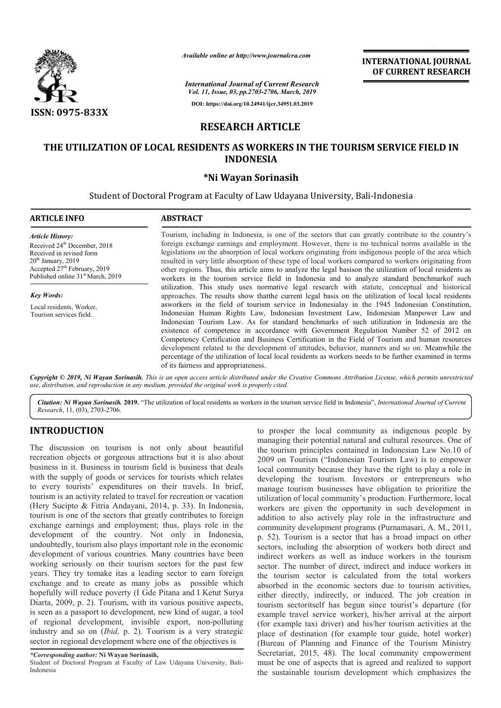

# **RESEARCH ARTICLE**

## **THE UTILIZATION OF LOCAL RESIDENTS AS WORKERS IN THE TOURISM SERVICE FIELD IN SERVICE FIELD INDONESIA**

### **\*Ni Wayan Sorinasih**

|                                                                                                                                                                                                                                | Available online at http://www.journalcra.com                                                                                                                                                                                                                                                                                                                                                                                                                                                                                                                                                                                                                                                                                          | <b>INTERNATIONAL JOURNAL</b><br>OF CURRENT RESEARCH |
|--------------------------------------------------------------------------------------------------------------------------------------------------------------------------------------------------------------------------------|----------------------------------------------------------------------------------------------------------------------------------------------------------------------------------------------------------------------------------------------------------------------------------------------------------------------------------------------------------------------------------------------------------------------------------------------------------------------------------------------------------------------------------------------------------------------------------------------------------------------------------------------------------------------------------------------------------------------------------------|-----------------------------------------------------|
|                                                                                                                                                                                                                                | <b>International Journal of Current Research</b><br>Vol. 11, Issue, 03, pp.2703-2706, March, 2019                                                                                                                                                                                                                                                                                                                                                                                                                                                                                                                                                                                                                                      |                                                     |
| <b>ISSN: 0975-833X</b>                                                                                                                                                                                                         | DOI: https://doi.org/10.24941/ijcr.34951.03.2019                                                                                                                                                                                                                                                                                                                                                                                                                                                                                                                                                                                                                                                                                       |                                                     |
|                                                                                                                                                                                                                                | <b>RESEARCH ARTICLE</b>                                                                                                                                                                                                                                                                                                                                                                                                                                                                                                                                                                                                                                                                                                                |                                                     |
|                                                                                                                                                                                                                                | THE UTILIZATION OF LOCAL RESIDENTS AS WORKERS IN THE TOURISM SERVICE FIELD IN<br><b>INDONESIA</b>                                                                                                                                                                                                                                                                                                                                                                                                                                                                                                                                                                                                                                      |                                                     |
|                                                                                                                                                                                                                                | *Ni Wayan Sorinasih                                                                                                                                                                                                                                                                                                                                                                                                                                                                                                                                                                                                                                                                                                                    |                                                     |
|                                                                                                                                                                                                                                | Student of Doctoral Program at Faculty of Law Udayana University, Bali-Indonesia                                                                                                                                                                                                                                                                                                                                                                                                                                                                                                                                                                                                                                                       |                                                     |
| <b>ARTICLE INFO</b>                                                                                                                                                                                                            | <b>ABSTRACT</b>                                                                                                                                                                                                                                                                                                                                                                                                                                                                                                                                                                                                                                                                                                                        |                                                     |
| <b>Article History:</b><br>Received 24 <sup>th</sup> December, 2018<br>Received in revised form<br>20 <sup>th</sup> January, 2019<br>Accepted 27 <sup>th</sup> February, 2019<br>Published online 31 <sup>st</sup> March, 2019 | Tourism, including in Indonesia, is one of the sectors that can greatly contribute to the country's<br>foreign exchange earnings and employment. However, there is no technical norms available in the<br>legislations on the absorption of local workers originating from indigenous people of the area which<br>resulted in very little absorption of these type of local workers compared to workers originating from<br>other regions. Thus, this article aims to analyze the legal basis on the utilization of local residents as<br>workers in the tourism service field in Indonesia and to analyze standard benchmarkof such                                                                                                   |                                                     |
| <b>Key Words:</b>                                                                                                                                                                                                              | utilization. This study uses normative legal research with statute, conceptual and historical<br>approaches. The results show that the current legal basis on the utilization of local local residents                                                                                                                                                                                                                                                                                                                                                                                                                                                                                                                                 |                                                     |
| Local residents, Worker,<br>Tourism services field.                                                                                                                                                                            | asworkers in the field of tourism service in Indonesialay in the 1945 Indonesian Constitution,<br>Indonesian Human Rights Law, Indonesian Investment Law, Indonesian Manpower Law and<br>Indonesian Tourism Law. As for standard benchmarks of such utilization in Indonesia are the<br>existence of competence in accordance with Government Regulation Number 52 of 2012 on<br>Competency Certification and Business Certification in the Field of Tourism and human resources<br>development related to the development of attitudes, behavior, manners and so on. Meanwhile the<br>percentage of the utilization of local local residents as workers needs to be further examined in terms<br>of its fairness and appropriateness. |                                                     |
|                                                                                                                                                                                                                                | Copyright © 2019, Ni Wayan Sorinasih. This is an open access article distributed under the Creative Commons Attribution License, which permits unrestricted<br>use, distribution, and reproduction in any medium, provided the original work is properly cited.                                                                                                                                                                                                                                                                                                                                                                                                                                                                        |                                                     |
|                                                                                                                                                                                                                                | Citation: Ni Wayan Sorinasih. 2019. "The utilization of local residents as workers in the tourism service field in Indonesia", International Journal of Current                                                                                                                                                                                                                                                                                                                                                                                                                                                                                                                                                                        |                                                     |

Citation: Ni Wayan Sorinasih. 2019. "The utilization of local residents as workers in the tourism service field in Indonesia", International Journal of Current *Research*, 11, (03), 2703-2706.

## **INTRODUCTION**

The discussion on tourism is not only about beautiful recreation objects or gorgeous attractions but it is also about business in it. Business in tourism field is business that deals with the supply of goods or services for tourists which relates to every tourists' expenditures on their travels. In brief, tourism is an activity related to travel for recreation or vacation (Hery Sucipto & Fitria Andayani, 2014, p. 33). In Indonesia, tourism is one of the sectors that greatly contributes to foreign exchange earnings and employment; thus, plays role in the development of the country. Not only in Indonesia, undoubtedly, tourism also plays important role in the economic development of various countries. Many countries have been working seriously on their tourism sectors for the past few years. They try tomake itas a leading sector to earn foreign exchange and to create as many jobs as possible which hopefully will reduce poverty (I Gde Pitana and I Ketut Surya Diarta, 2009, p. 2). Tourism, with its various positive aspects, is seen as a passport to development, new kind of sugar, a tool of regional development, invisible export, non-polluting industry and so on (*Ibid,* p. 2). Tourism is a very strategic sector in regional development where one of the objectives is

*\*Corresponding author:* **Ni Wayan Sorinasih,**

Student of Doctoral Program at Faculty of Law Udayana University, Bali-Indonesia

to prosper the local community as indigenous people by managing their potential natural and cultural resources. One of the tourism principles contained in Indonesian Law No.10 of 2009 on Tourism ("Indonesian Tourism Law) is to empower local community because they have the right to play a role in developing the tourism. Investors or entrepreneurs who manage tourism businesses have obligation to prioritize the utilization of local community's production. Furthermore, local workers are given the opportunity in such development in addition to also actively play role in the infrastructure and community development programs (Purnamasari, A. M., 2011, p. 52). Tourism is a sector that has a broad impact on other sectors, including the absorption of workers both direct and indirect workers as well as induce workers in the tourism sector. The number of direct, indirect and induce workers in the tourism sector is calculated from the total workers absorbed in the economic sectors due to tourism activities, either directly, indirectly, or induced. The job creation in tourism sectoritself has begun since tourist's departure (for example travel service worker), his/her arrival at the airport (for example taxi driver) and his/her tourism activities at the place of destination (for example tour guide, hotel worker) (Bureau of Planning and Finance of the Tourism Ministry Secretariat, 2015, 48). The local community empowerment must be one of aspects that is agreed and realized to support the sustainable tourism development which emphasizes the potential natural and cultural resources. One of<br>nciples contained in Indonesian Law No.10 of<br>m ("Indonesian Tourism Law) is to empower<br>y because they have the right to play a role in In the tourism. Investors or entrepreneurs who tourism businesses have obligation to prioritize the infrastructure, local are given the opportunity in such development in to also actively play role in the infrastructure an mity development programs (Purnamasari, A. M., 2011, Tourism is a sector that has a broad impact on other, including the absorption of workers both direct and to workers as well as induce workers in the tourism The number driver) and his/her tourism activities at the<br>on (for example tour guide, hotel worker)<br>ing and Finance of the Tourism Ministry<br>48). The local community empowerment **IFFIENDATIONAL JOUENELA CONTRAITS (SURFAIT TOWAL FIRED AS More,**  $h_x$  **and**  $h_y$  **and**  $h_y$  **and**  $h_z$  **and**  $\theta$  **and**  $\theta$  **and**  $\theta$  **and**  $\theta$  **and**  $\theta$  **and**  $\theta$  **and**  $\theta$  **and**  $\theta$  **and**  $\theta$  **and**  $\theta$  **and**  $\theta$  **and**  $\theta$  **and**  $\theta$  **and \theta**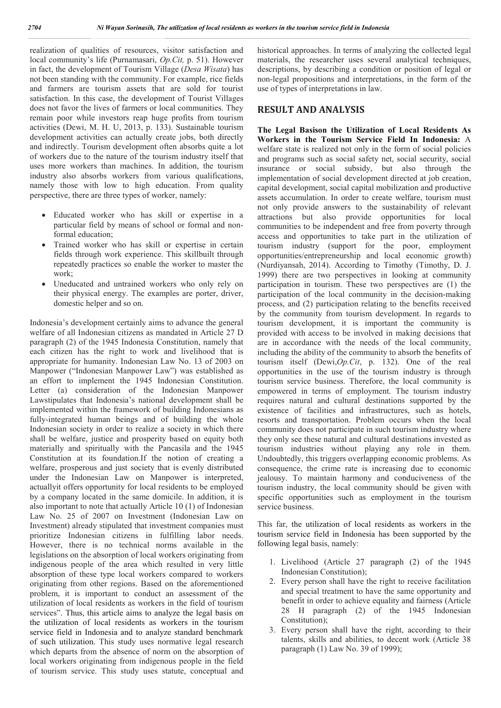realization of qualities of resources, visitor satisfaction and local community's life (Purnamasari, *Op.Cit,* p. 51). However in fact, the development of Tourism Village (*Desa Wisata*) has not been standing with the community. For example, rice fields and farmers are tourism assets that are sold for tourist satisfaction. In this case, the development of Tourist Villages does not favor the lives of farmers or local communities. They remain poor while investors reap huge profits from tourism activities (Dewi, M. H. U, 2013, p. 133). Sustainable tourism development activities can actually create jobs, both directly and indirectly. Tourism development often absorbs quite a lot of workers due to the nature of the tourism industry itself that uses more workers than machines. In addition, the tourism industry also absorbs workers from various qualifications, namely those with low to high education. From quality perspective, there are three types of worker, namely:

- Educated worker who has skill or expertise in a particular field by means of school or formal and nonformal education;
- Trained worker who has skill or expertise in certain fields through work experience. This skillbuilt through repeatedly practices so enable the worker to master the work;
- Uneducated and untrained workers who only rely on their physical energy. The examples are porter, driver, domestic helper and so on.

Indonesia's development certainly aims to advance the general welfare of all Indonesian citizens as mandated in Article 27 D paragraph (2) of the 1945 Indonesia Constitution, namely that each citizen has the right to work and livelihood that is appropriate for humanity. Indonesian Law No. 13 of 2003 on Manpower ("Indonesian Manpower Law") was established as an effort to implement the 1945 Indonesian Constitution. Letter (a) consideration of the Indonesian Manpower Lawstipulates that Indonesia's national development shall be implemented within the framework of building Indonesians as fully-integrated human beings and of building the whole Indonesian society in order to realize a society in which there shall be welfare, justice and prosperity based on equity both materially and spiritually with the Pancasila and the 1945 Constitution at its foundation.If the notion of creating a welfare, prosperous and just society that is evenly distributed under the Indonesian Law on Manpower is interpreted, actuallyit offers opportunity for local residents to be employed by a company located in the same domicile. In addition, it is also important to note that actually Article 10 (1) of Indonesian Law No. 25 of 2007 on Investment (Indonesian Law on Investment) already stipulated that investment companies must prioritize Indonesian citizens in fulfilling labor needs. However, there is no technical norms available in the legislations on the absorption of local workers originating from indigenous people of the area which resulted in very little absorption of these type local workers compared to workers originating from other regions. Based on the aforementioned problem, it is important to conduct an assessment of the utilization of local residents as workers in the field of tourism services". Thus, this article aims to analyze the legal basis on the utilization of local residents as workers in the tourism service field in Indonesia and to analyze standard benchmark of such utilization. This study uses normative legal research which departs from the absence of norm on the absorption of local workers originating from indigenous people in the field of tourism service. This study uses statute, conceptual and historical approaches. In terms of analyzing the collected legal materials, the researcher uses several analytical techniques, descriptions, by describing a condition or position of legal or non-legal propositions and interpretations, in the form of the use of types of interpretations in law.

### **RESULT AND ANALYSIS**

**The Legal Basison the Utilization of Local Residents As Workers in the Tourism Service Field In Indonesia:** A welfare state is realized not only in the form of social policies and programs such as social safety net, social security, social insurance or social subsidy, but also through the implementation of social development directed at job creation, capital development, social capital mobilization and productive assets accumulation. In order to create welfare, tourism must not only provide answers to the sustainability of relevant attractions but also provide opportunities for local communities to be independent and free from poverty through access and opportunities to take part in the utilization of tourism industry (support for the poor, employment opportunities/entrepreneurship and local economic growth) (Nurdiyansah, 2014). According to Timothy (Timothy, D. J. 1999) there are two perspectives in looking at community participation in tourism. These two perspectives are (1) the participation of the local community in the decision-making process, and (2) participation relating to the benefits received by the community from tourism development. In regards to tourism development, it is important the community is provided with access to be involved in making decisions that are in accordance with the needs of the local community, including the ability of the community to absorb the benefits of tourism itself (Dewi,*Op.Cit*, p. 132). One of the real opportunities in the use of the tourism industry is through tourism service business. Therefore, the local community is empowered in terms of employment. The tourism industry requires natural and cultural destinations supported by the existence of facilities and infrastructures, such as hotels, resorts and transportation. Problem occurs when the local community does not participate in such tourism industry where they only see these natural and cultural destinations invested as tourism industries without playing any role in them. Undoubtedly, this triggers overlapping economic problems. As consequence, the crime rate is increasing due to economic jealousy. To maintain harmony and conduciveness of the tourism industry, the local community should be given with specific opportunities such as employment in the tourism service business.

This far, the utilization of local residents as workers in the tourism service field in Indonesia has been supported by the following legal basis, namely:

- 1. Livelihood (Article 27 paragraph (2) of the 1945 Indonesian Constitution);
- 2. Every person shall have the right to receive facilitation and special treatment to have the same opportunity and benefit in order to achieve equality and fairness (Article 28 H paragraph (2) of the 1945 Indonesian Constitution);
- 3. Every person shall have the right, according to their talents, skills and abilities, to decent work (Article 38 paragraph (1) Law No. 39 of 1999);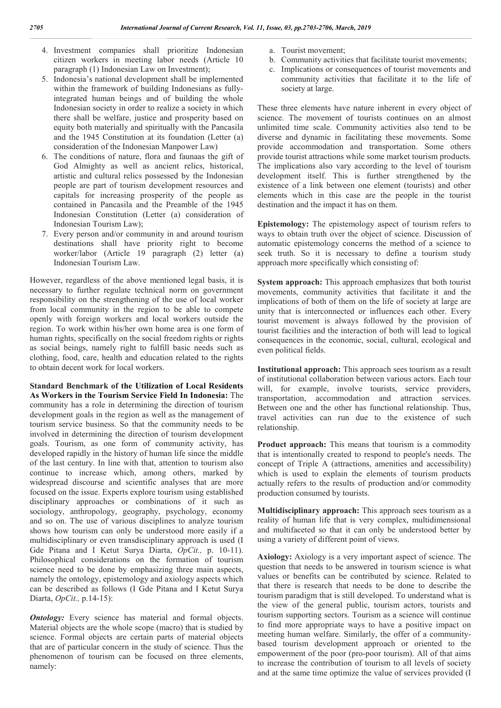- 4. Investment companies shall prioritize Indonesian citizen workers in meeting labor needs (Article 10 paragraph (1) Indonesian Law on Investment);
- 5. Indonesia's national development shall be implemented within the framework of building Indonesians as fullyintegrated human beings and of building the whole Indonesian society in order to realize a society in which there shall be welfare, justice and prosperity based on equity both materially and spiritually with the Pancasila and the 1945 Constitution at its foundation (Letter (a) consideration of the Indonesian Manpower Law)
- 6. The conditions of nature, flora and faunaas the gift of God Almighty as well as ancient relics, historical, artistic and cultural relics possessed by the Indonesian people are part of tourism development resources and capitals for increasing prosperity of the people as contained in Pancasila and the Preamble of the 1945 Indonesian Constitution (Letter (a) consideration of Indonesian Tourism Law);
- 7. Every person and/or community in and around tourism destinations shall have priority right to become worker/labor (Article 19 paragraph (2) letter (a) Indonesian Tourism Law.

However, regardless of the above mentioned legal basis, it is necessary to further regulate technical norm on government responsibility on the strengthening of the use of local worker from local community in the region to be able to compete openly with foreign workers and local workers outside the region. To work within his/her own home area is one form of human rights, specifically on the social freedom rights or rights as social beings, namely right to fulfill basic needs such as clothing, food, care, health and education related to the rights to obtain decent work for local workers.

**Standard Benchmark of the Utilization of Local Residents As Workers in the Tourism Service Field In Indonesia:** The community has a role in determining the direction of tourism development goals in the region as well as the management of tourism service business. So that the community needs to be involved in determining the direction of tourism development goals. Tourism, as one form of community activity, has developed rapidly in the history of human life since the middle of the last century. In line with that, attention to tourism also continue to increase which, among others, marked by widespread discourse and scientific analyses that are more focused on the issue. Experts explore tourism using established disciplinary approaches or combinations of it such as sociology, anthropology, geography, psychology, economy and so on. The use of various disciplines to analyze tourism shows how tourism can only be understood more easily if a multidisciplinary or even transdisciplinary approach is used (I Gde Pitana and I Ketut Surya Diarta, *OpCit.,* p. 10-11). Philosophical considerations on the formation of tourism science need to be done by emphasizing three main aspects, namely the ontology, epistemology and axiology aspects which can be described as follows (I Gde Pitana and I Ketut Surya Diarta, *OpCit.,* p.14-15):

*Ontology:* Every science has material and formal objects. Material objects are the whole scope (macro) that is studied by science. Formal objects are certain parts of material objects that are of particular concern in the study of science. Thus the phenomenon of tourism can be focused on three elements, namely:

- a. Tourist movement;
- b. Community activities that facilitate tourist movements;
- c. Implications or consequences of tourist movements and community activities that facilitate it to the life of society at large.

These three elements have nature inherent in every object of science. The movement of tourists continues on an almost unlimited time scale. Community activities also tend to be diverse and dynamic in facilitating these movements. Some provide accommodation and transportation. Some others provide tourist attractions while some market tourism products. The implications also vary according to the level of tourism development itself. This is further strengthened by the existence of a link between one element (tourists) and other elements which in this case are the people in the tourist destination and the impact it has on them.

**Epistemology:** The epistemology aspect of tourism refers to ways to obtain truth over the object of science. Discussion of automatic epistemology concerns the method of a science to seek truth. So it is necessary to define a tourism study approach more specifically which consisting of:

**System approach:** This approach emphasizes that both tourist movements, community activities that facilitate it and the implications of both of them on the life of society at large are unity that is interconnected or influences each other. Every tourist movement is always followed by the provision of tourist facilities and the interaction of both will lead to logical consequences in the economic, social, cultural, ecological and even political fields.

**Institutional approach:** This approach sees tourism as a result of institutional collaboration between various actors. Each tour will, for example, involve tourists, service providers, transportation, accommodation and attraction services. Between one and the other has functional relationship. Thus, travel activities can run due to the existence of such relationship.

**Product approach:** This means that tourism is a commodity that is intentionally created to respond to people's needs. The concept of Triple A (attractions, amenities and accessibility) which is used to explain the elements of tourism products actually refers to the results of production and/or commodity production consumed by tourists.

**Multidisciplinary approach:** This approach sees tourism as a reality of human life that is very complex, multidimensional and multifaceted so that it can only be understood better by using a variety of different point of views.

**Axiology:** Axiology is a very important aspect of science. The question that needs to be answered in tourism science is what values or benefits can be contributed by science. Related to that there is research that needs to be done to describe the tourism paradigm that is still developed. To understand what is the view of the general public, tourism actors, tourists and tourism supporting sectors. Tourism as a science will continue to find more appropriate ways to have a positive impact on meeting human welfare. Similarly, the offer of a communitybased tourism development approach or oriented to the empowerment of the poor (pro-poor tourism). All of that aims to increase the contribution of tourism to all levels of society and at the same time optimize the value of services provided (I